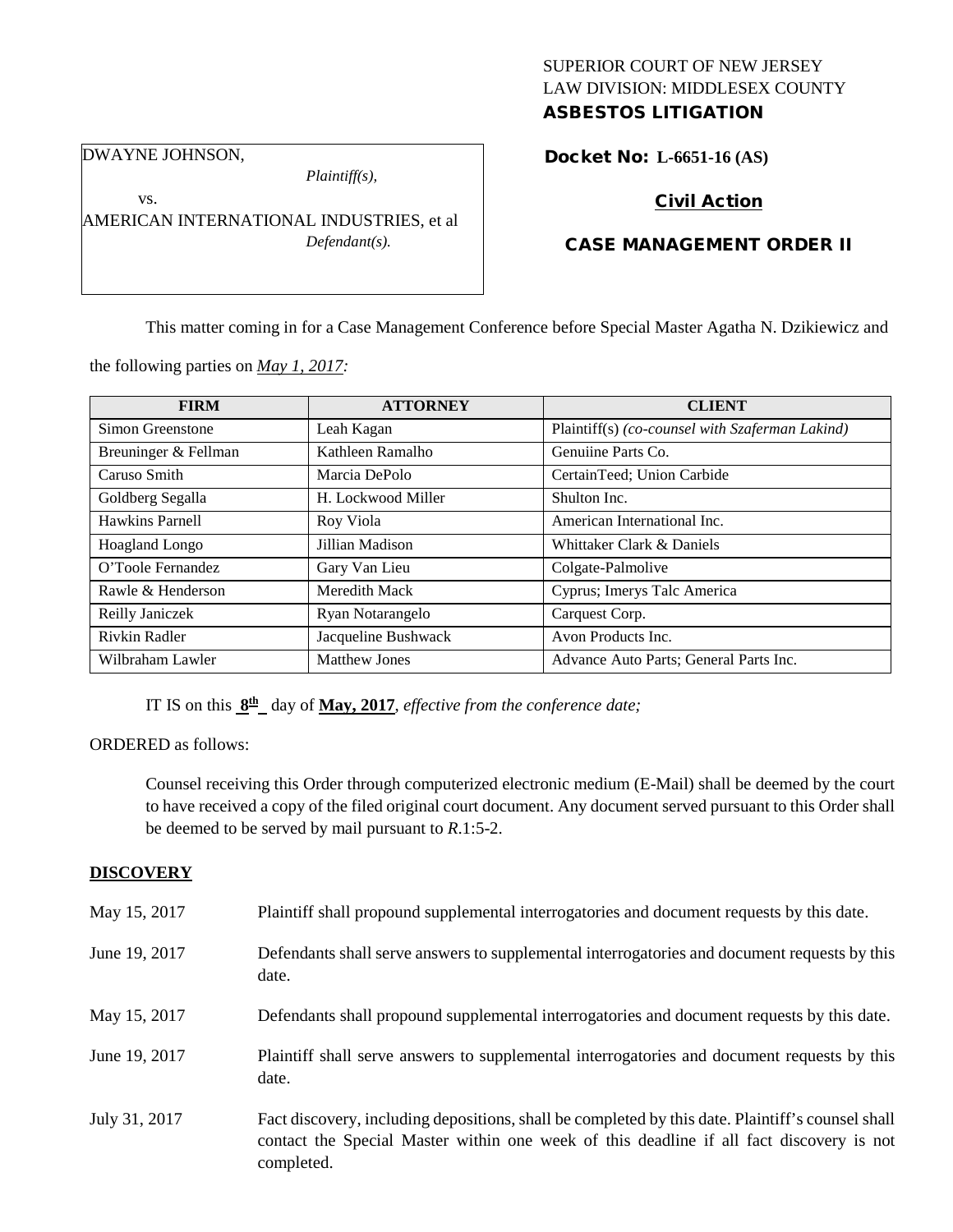## SUPERIOR COURT OF NEW JERSEY LAW DIVISION: MIDDLESEX COUNTY ASBESTOS LITIGATION

DWAYNE JOHNSON,

vs.

*Plaintiff(s),*

AMERICAN INTERNATIONAL INDUSTRIES, et al *Defendant(s).*

# Docket No: **L-6651-16 (AS)**

# Civil Action

## CASE MANAGEMENT ORDER II

This matter coming in for a Case Management Conference before Special Master Agatha N. Dzikiewicz and

the following parties on *May 1, 2017:*

| <b>FIRM</b>          | <b>ATTORNEY</b>      | <b>CLIENT</b>                                   |
|----------------------|----------------------|-------------------------------------------------|
| Simon Greenstone     | Leah Kagan           | Plaintiff(s) (co-counsel with Szaferman Lakind) |
| Breuninger & Fellman | Kathleen Ramalho     | Genuiine Parts Co.                              |
| Caruso Smith         | Marcia DePolo        | CertainTeed; Union Carbide                      |
| Goldberg Segalla     | H. Lockwood Miller   | Shulton Inc.                                    |
| Hawkins Parnell      | Roy Viola            | American International Inc.                     |
| Hoagland Longo       | Jillian Madison      | Whittaker Clark & Daniels                       |
| O'Toole Fernandez    | Gary Van Lieu        | Colgate-Palmolive                               |
| Rawle & Henderson    | Meredith Mack        | Cyprus; Imerys Talc America                     |
| Reilly Janiczek      | Ryan Notarangelo     | Carquest Corp.                                  |
| Rivkin Radler        | Jacqueline Bushwack  | Avon Products Inc.                              |
| Wilbraham Lawler     | <b>Matthew Jones</b> | Advance Auto Parts; General Parts Inc.          |

IT IS on this  $\underline{8^{\text{th}}}$  day of <u>May, 2017</u>, *effective from the conference date;* 

ORDERED as follows:

Counsel receiving this Order through computerized electronic medium (E-Mail) shall be deemed by the court to have received a copy of the filed original court document. Any document served pursuant to this Order shall be deemed to be served by mail pursuant to *R*.1:5-2.

## **DISCOVERY**

| May 15, 2017  | Plaintiff shall propound supplemental interrogatories and document requests by this date.                                                                                                                   |
|---------------|-------------------------------------------------------------------------------------------------------------------------------------------------------------------------------------------------------------|
| June 19, 2017 | Defendants shall serve answers to supplemental interrogatories and document requests by this<br>date.                                                                                                       |
| May 15, 2017  | Defendants shall propound supplemental interrogatories and document requests by this date.                                                                                                                  |
| June 19, 2017 | Plaintiff shall serve answers to supplemental interrogatories and document requests by this<br>date.                                                                                                        |
| July 31, 2017 | Fact discovery, including depositions, shall be completed by this date. Plaintiff's counsel shall<br>contact the Special Master within one week of this deadline if all fact discovery is not<br>completed. |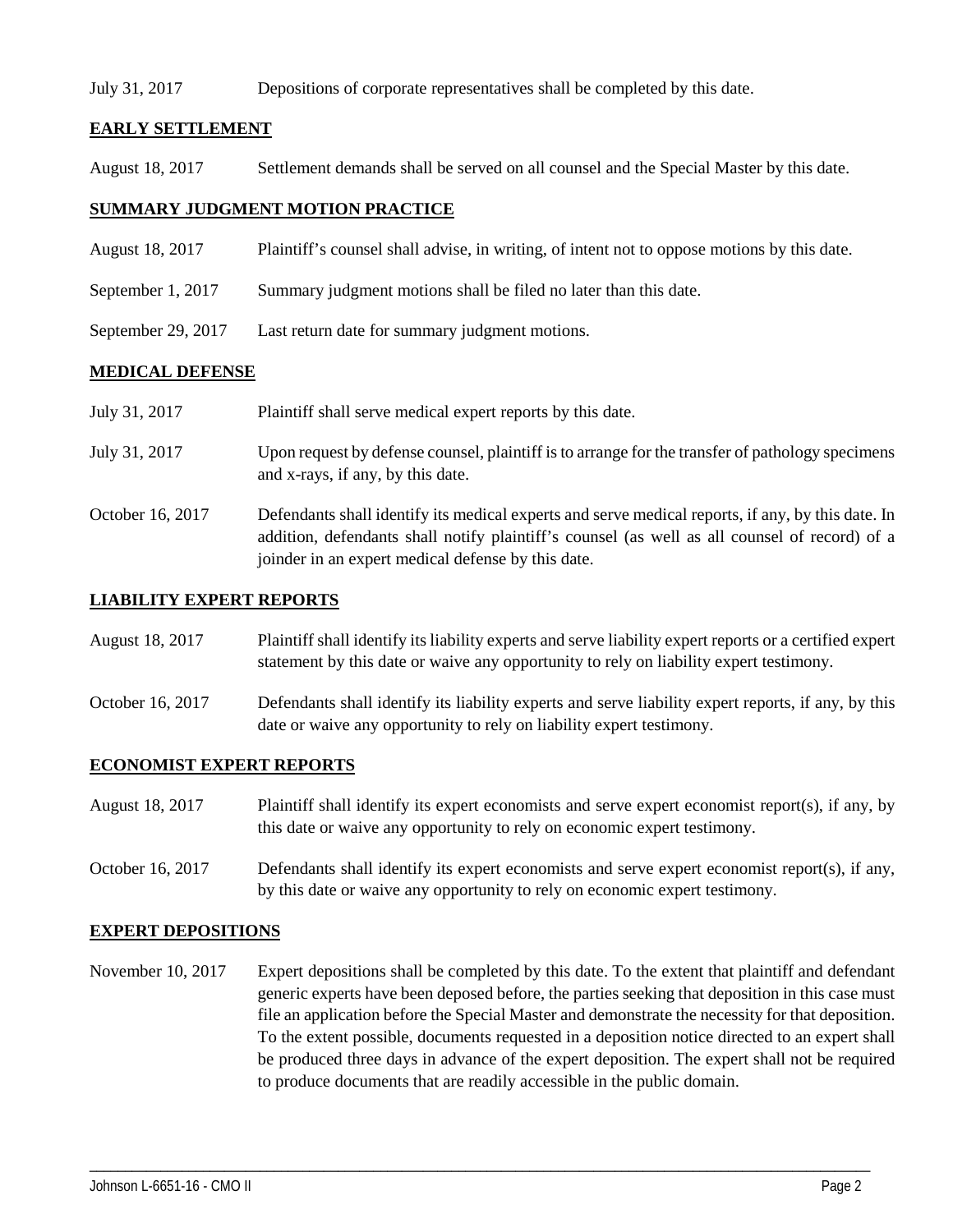#### July 31, 2017 Depositions of corporate representatives shall be completed by this date.

## **EARLY SETTLEMENT**

August 18, 2017 Settlement demands shall be served on all counsel and the Special Master by this date.

## **SUMMARY JUDGMENT MOTION PRACTICE**

- August 18, 2017 Plaintiff's counsel shall advise, in writing, of intent not to oppose motions by this date.
- September 1, 2017 Summary judgment motions shall be filed no later than this date.
- September 29, 2017 Last return date for summary judgment motions.

## **MEDICAL DEFENSE**

| July 31, 2017    | Plaintiff shall serve medical expert reports by this date.                                                                                                                                                                                               |
|------------------|----------------------------------------------------------------------------------------------------------------------------------------------------------------------------------------------------------------------------------------------------------|
| July 31, 2017    | Upon request by defense counsel, plaintiff is to arrange for the transfer of pathology specimens<br>and x-rays, if any, by this date.                                                                                                                    |
| October 16, 2017 | Defendants shall identify its medical experts and serve medical reports, if any, by this date. In<br>addition, defendants shall notify plaintiff's counsel (as well as all counsel of record) of a<br>joinder in an expert medical defense by this date. |

#### **LIABILITY EXPERT REPORTS**

August 18, 2017 Plaintiff shall identify its liability experts and serve liability expert reports or a certified expert statement by this date or waive any opportunity to rely on liability expert testimony.

October 16, 2017 Defendants shall identify its liability experts and serve liability expert reports, if any, by this date or waive any opportunity to rely on liability expert testimony.

## **ECONOMIST EXPERT REPORTS**

- August 18, 2017 Plaintiff shall identify its expert economists and serve expert economist report(s), if any, by this date or waive any opportunity to rely on economic expert testimony.
- October 16, 2017 Defendants shall identify its expert economists and serve expert economist report(s), if any, by this date or waive any opportunity to rely on economic expert testimony.

#### **EXPERT DEPOSITIONS**

November 10, 2017 Expert depositions shall be completed by this date. To the extent that plaintiff and defendant generic experts have been deposed before, the parties seeking that deposition in this case must file an application before the Special Master and demonstrate the necessity for that deposition. To the extent possible, documents requested in a deposition notice directed to an expert shall be produced three days in advance of the expert deposition. The expert shall not be required to produce documents that are readily accessible in the public domain.

\_\_\_\_\_\_\_\_\_\_\_\_\_\_\_\_\_\_\_\_\_\_\_\_\_\_\_\_\_\_\_\_\_\_\_\_\_\_\_\_\_\_\_\_\_\_\_\_\_\_\_\_\_\_\_\_\_\_\_\_\_\_\_\_\_\_\_\_\_\_\_\_\_\_\_\_\_\_\_\_\_\_\_\_\_\_\_\_\_\_\_\_\_\_\_\_\_\_\_\_\_\_\_\_\_\_\_\_\_\_